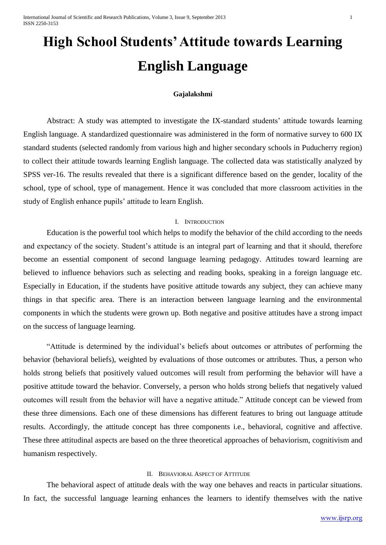International Journal of Scientific and Research Publications, Volume 3, Issue 9, September 2013 1 ISSN 2250-3153

# **High School Students' Attitude towards Learning English Language**

#### **Gajalakshmi**

Abstract: A study was attempted to investigate the IX-standard students' attitude towards learning English language. A standardized questionnaire was administered in the form of normative survey to 600 IX standard students (selected randomly from various high and higher secondary schools in Puducherry region) to collect their attitude towards learning English language. The collected data was statistically analyzed by SPSS ver-16. The results revealed that there is a significant difference based on the gender, locality of the school, type of school, type of management. Hence it was concluded that more classroom activities in the study of English enhance pupils' attitude to learn English.

#### I. INTRODUCTION

Education is the powerful tool which helps to modify the behavior of the child according to the needs and expectancy of the society. Student's attitude is an integral part of learning and that it should, therefore become an essential component of second language learning pedagogy. Attitudes toward learning are believed to influence behaviors such as selecting and reading books, speaking in a foreign language etc. Especially in Education, if the students have positive attitude towards any subject, they can achieve many things in that specific area. There is an interaction between language learning and the environmental components in which the students were grown up. Both negative and positive attitudes have a strong impact on the success of language learning.

"Attitude is determined by the individual's beliefs about outcomes or attributes of performing the behavior (behavioral beliefs), weighted by evaluations of those outcomes or attributes. Thus, a person who holds strong beliefs that positively valued outcomes will result from performing the behavior will have a positive attitude toward the behavior. Conversely, a person who holds strong beliefs that negatively valued outcomes will result from the behavior will have a negative attitude." Attitude concept can be viewed from these three dimensions. Each one of these dimensions has different features to bring out language attitude results. Accordingly, the attitude concept has three components i.e., behavioral, cognitive and affective. These three attitudinal aspects are based on the three theoretical approaches of behaviorism, cognitivism and humanism respectively.

#### II. BEHAVIORAL ASPECT OF ATTITUDE

The behavioral aspect of attitude deals with the way one behaves and reacts in particular situations. In fact, the successful language learning enhances the learners to identify themselves with the native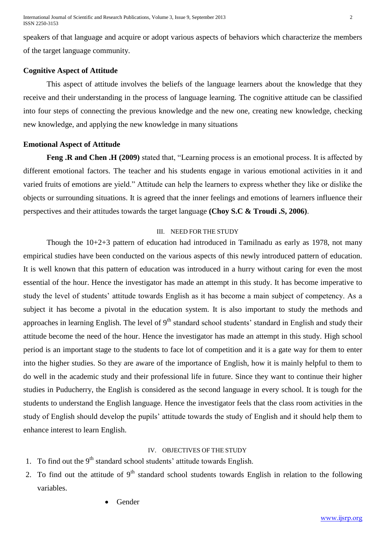speakers of that language and acquire or adopt various aspects of behaviors which characterize the members of the target language community.

# **Cognitive Aspect of Attitude**

This aspect of attitude involves the beliefs of the language learners about the knowledge that they receive and their understanding in the process of language learning. The cognitive attitude can be classified into four steps of connecting the previous knowledge and the new one, creating new knowledge, checking new knowledge, and applying the new knowledge in many situations

# **Emotional Aspect of Attitude**

**Feng .R and Chen .H (2009)** stated that, "Learning process is an emotional process. It is affected by different emotional factors. The teacher and his students engage in various emotional activities in it and varied fruits of emotions are yield." Attitude can help the learners to express whether they like or dislike the objects or surrounding situations. It is agreed that the inner feelings and emotions of learners influence their perspectives and their attitudes towards the target language **(Choy S.C & Troudi .S, 2006)**.

# III. NEED FOR THE STUDY

Though the 10+2+3 pattern of education had introduced in Tamilnadu as early as 1978, not many empirical studies have been conducted on the various aspects of this newly introduced pattern of education. It is well known that this pattern of education was introduced in a hurry without caring for even the most essential of the hour. Hence the investigator has made an attempt in this study. It has become imperative to study the level of students' attitude towards English as it has become a main subject of competency. As a subject it has become a pivotal in the education system. It is also important to study the methods and approaches in learning English. The level of  $9<sup>th</sup>$  standard school students' standard in English and study their attitude become the need of the hour. Hence the investigator has made an attempt in this study. High school period is an important stage to the students to face lot of competition and it is a gate way for them to enter into the higher studies. So they are aware of the importance of English, how it is mainly helpful to them to do well in the academic study and their professional life in future. Since they want to continue their higher studies in Puducherry, the English is considered as the second language in every school. It is tough for the students to understand the English language. Hence the investigator feels that the class room activities in the study of English should develop the pupils' attitude towards the study of English and it should help them to enhance interest to learn English.

## IV. OBJECTIVES OF THE STUDY

- 1. To find out the  $9<sup>th</sup>$  standard school students' attitude towards English.
- 2. To find out the attitude of  $9<sup>th</sup>$  standard school students towards English in relation to the following variables.
	- Gender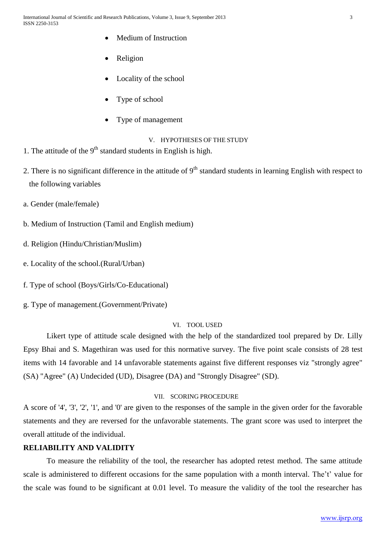- Medium of Instruction
- Religion
- Locality of the school
- Type of school
- Type of management

# V. HYPOTHESES OF THE STUDY

- 1. The attitude of the  $9<sup>th</sup>$  standard students in English is high.
- 2. There is no significant difference in the attitude of  $9<sup>th</sup>$  standard students in learning English with respect to the following variables
- a. Gender (male/female)
- b. Medium of Instruction (Tamil and English medium)
- d. Religion (Hindu/Christian/Muslim)
- e. Locality of the school.(Rural/Urban)
- f. Type of school (Boys/Girls/Co-Educational)
- g. Type of management.(Government/Private)

#### VI. TOOL USED

Likert type of attitude scale designed with the help of the standardized tool prepared by Dr. Lilly Epsy Bhai and S. Magethiran was used for this normative survey. The five point scale consists of 28 test items with 14 favorable and 14 unfavorable statements against five different responses viz "strongly agree" (SA) "Agree" (A) Undecided (UD), Disagree (DA) and "Strongly Disagree" (SD).

### VII. SCORING PROCEDURE

A score of '4', '3', '2', '1', and '0' are given to the responses of the sample in the given order for the favorable statements and they are reversed for the unfavorable statements. The grant score was used to interpret the overall attitude of the individual.

# **RELIABILITY AND VALIDITY**

To measure the reliability of the tool, the researcher has adopted retest method. The same attitude scale is administered to different occasions for the same population with a month interval. The't' value for the scale was found to be significant at 0.01 level. To measure the validity of the tool the researcher has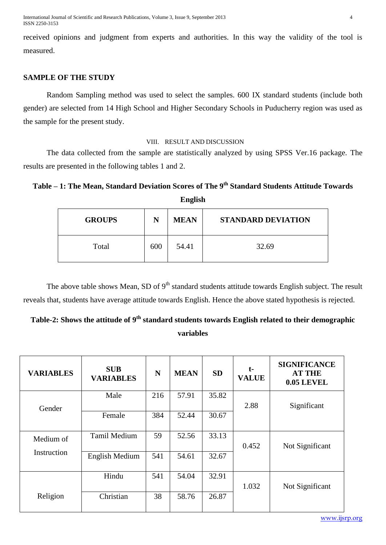International Journal of Scientific and Research Publications, Volume 3, Issue 9, September 2013 4 ISSN 2250-3153

received opinions and judgment from experts and authorities. In this way the validity of the tool is measured.

# **SAMPLE OF THE STUDY**

Random Sampling method was used to select the samples. 600 IX standard students (include both gender) are selected from 14 High School and Higher Secondary Schools in Puducherry region was used as the sample for the present study.

#### VIII. RESULT AND DISCUSSION

The data collected from the sample are statistically analyzed by using SPSS Ver.16 package. The results are presented in the following tables 1 and 2.

# **Table – 1: The Mean, Standard Deviation Scores of The 9th Standard Students Attitude Towards**

**English**

| <b>GROUPS</b> | N   | <b>MEAN</b> | <b>STANDARD DEVIATION</b> |
|---------------|-----|-------------|---------------------------|
| Total         | 600 | 54.41       | 32.69                     |

The above table shows Mean, SD of  $9<sup>th</sup>$  standard students attitude towards English subject. The result reveals that, students have average attitude towards English. Hence the above stated hypothesis is rejected.

# **Table-2: Shows the attitude of 9th standard students towards English related to their demographic variables**

| <b>VARIABLES</b> | <b>SUB</b><br><b>VARIABLES</b> | $\mathbf N$ | <b>MEAN</b> | <b>SD</b> | $t-$<br><b>VALUE</b> | <b>SIGNIFICANCE</b><br><b>AT THE</b><br><b>0.05 LEVEL</b> |  |
|------------------|--------------------------------|-------------|-------------|-----------|----------------------|-----------------------------------------------------------|--|
| Gender           | Male                           | 216         | 57.91       | 35.82     | 2.88                 | Significant                                               |  |
|                  | Female                         | 384         | 52.44       | 30.67     |                      |                                                           |  |
| Medium of        | Tamil Medium                   | 59          | 52.56       | 33.13     | 0.452                | Not Significant                                           |  |
| Instruction      | English Medium                 | 541         | 54.61       | 32.67     |                      |                                                           |  |
|                  | Hindu                          | 541         | 54.04       | 32.91     | 1.032                | Not Significant                                           |  |
| Religion         | Christian                      | 38          | 58.76       | 26.87     |                      |                                                           |  |

www.ijsrp.org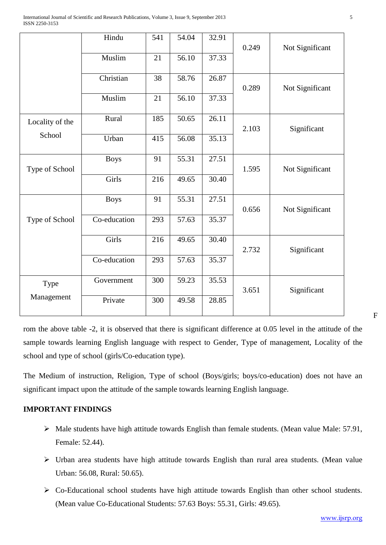|                 | Hindu        | 541 | 54.04 | 32.91 | 0.249 | Not Significant |
|-----------------|--------------|-----|-------|-------|-------|-----------------|
|                 | Muslim       | 21  | 56.10 | 37.33 |       |                 |
|                 | Christian    | 38  | 58.76 | 26.87 | 0.289 | Not Significant |
|                 | Muslim       | 21  | 56.10 | 37.33 |       |                 |
| Locality of the | Rural        | 185 | 50.65 | 26.11 | 2.103 | Significant     |
| School          | Urban        | 415 | 56.08 | 35.13 |       |                 |
| Type of School  | <b>Boys</b>  | 91  | 55.31 | 27.51 | 1.595 | Not Significant |
|                 | Girls        | 216 | 49.65 | 30.40 |       |                 |
|                 | <b>Boys</b>  | 91  | 55.31 | 27.51 | 0.656 | Not Significant |
| Type of School  | Co-education | 293 | 57.63 | 35.37 |       |                 |
|                 | Girls        | 216 | 49.65 | 30.40 | 2.732 | Significant     |
|                 | Co-education | 293 | 57.63 | 35.37 |       |                 |
| Type            | Government   | 300 | 59.23 | 35.53 | 3.651 | Significant     |
| Management      | Private      | 300 | 49.58 | 28.85 |       |                 |

F

rom the above table -2, it is observed that there is significant difference at 0.05 level in the attitude of the sample towards learning English language with respect to Gender, Type of management, Locality of the school and type of school (girls/Co-education type).

The Medium of instruction, Religion, Type of school (Boys/girls; boys/co-education) does not have an significant impact upon the attitude of the sample towards learning English language.

# **IMPORTANT FINDINGS**

- $\triangleright$  Male students have high attitude towards English than female students. (Mean value Male: 57.91, Female: 52.44).
- Urban area students have high attitude towards English than rural area students. (Mean value Urban: 56.08, Rural: 50.65).
- Co-Educational school students have high attitude towards English than other school students. (Mean value Co-Educational Students: 57.63 Boys: 55.31, Girls: 49.65).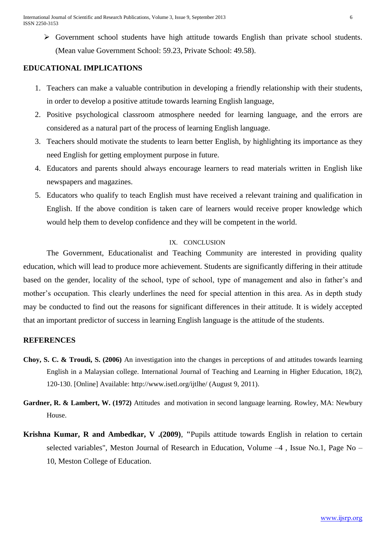International Journal of Scientific and Research Publications, Volume 3, Issue 9, September 2013 6 ISSN 2250-3153

 Government school students have high attitude towards English than private school students. (Mean value Government School: 59.23, Private School: 49.58).

# **EDUCATIONAL IMPLICATIONS**

- 1. Teachers can make a valuable contribution in developing a friendly relationship with their students, in order to develop a positive attitude towards learning English language,
- 2. Positive psychological classroom atmosphere needed for learning language, and the errors are considered as a natural part of the process of learning English language.
- 3. Teachers should motivate the students to learn better English, by highlighting its importance as they need English for getting employment purpose in future.
- 4. Educators and parents should always encourage learners to read materials written in English like newspapers and magazines.
- 5. Educators who qualify to teach English must have received a relevant training and qualification in English. If the above condition is taken care of learners would receive proper knowledge which would help them to develop confidence and they will be competent in the world.

## IX. CONCLUSION

The Government, Educationalist and Teaching Community are interested in providing quality education, which will lead to produce more achievement. Students are significantly differing in their attitude based on the gender, locality of the school, type of school, type of management and also in father's and mother's occupation. This clearly underlines the need for special attention in this area. As in depth study may be conducted to find out the reasons for significant differences in their attitude. It is widely accepted that an important predictor of success in learning English language is the attitude of the students.

# **REFERENCES**

- **Choy, S. C. & Troudi, S. (2006)** An investigation into the changes in perceptions of and attitudes towards learning English in a Malaysian college. International Journal of Teaching and Learning in Higher Education, 18(2), 120-130. [Online] Available: http://www.isetl.org/ijtlhe/ (August 9, 2011).
- **Gardner, R. & Lambert, W. (1972)** Attitudes and motivation in second language learning. Rowley, MA: Newbury House.
- **Krishna Kumar, R and Ambedkar, V .(2009)**, **"**Pupils attitude towards English in relation to certain selected variables", Meston Journal of Research in Education, Volume –4 , Issue No.1, Page No – 10, Meston College of Education.